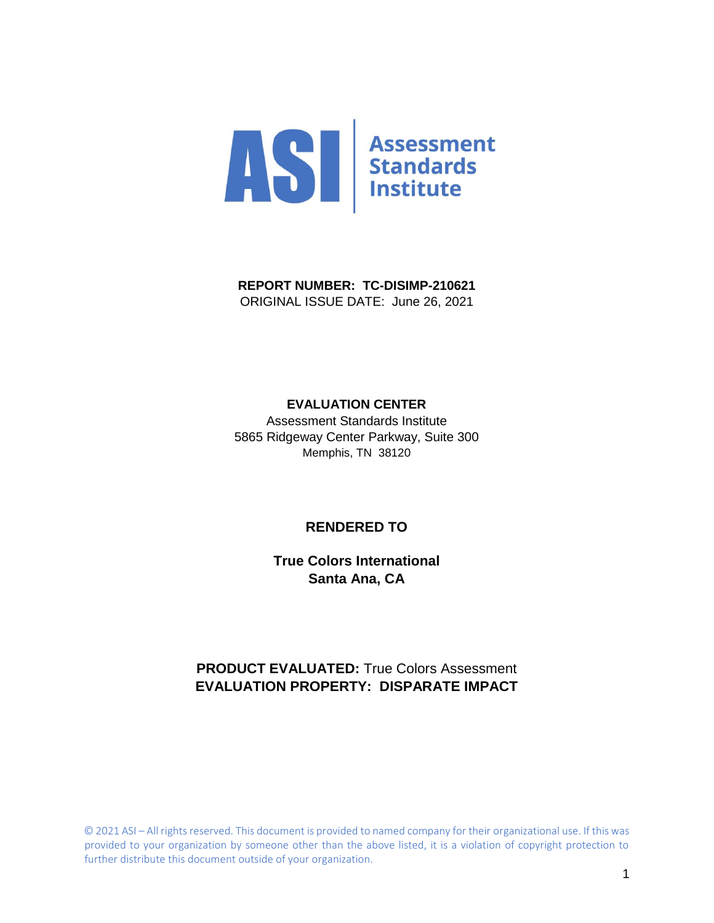

**REPORT NUMBER: TC-DISIMP-210621** ORIGINAL ISSUE DATE: June 26, 2021

#### **EVALUATION CENTER**

Assessment Standards Institute 5865 Ridgeway Center Parkway, Suite 300 Memphis, TN 38120

#### **RENDERED TO**

**True Colors International Santa Ana, CA**

### **PRODUCT EVALUATED:** True Colors Assessment **EVALUATION PROPERTY: DISPARATE IMPACT**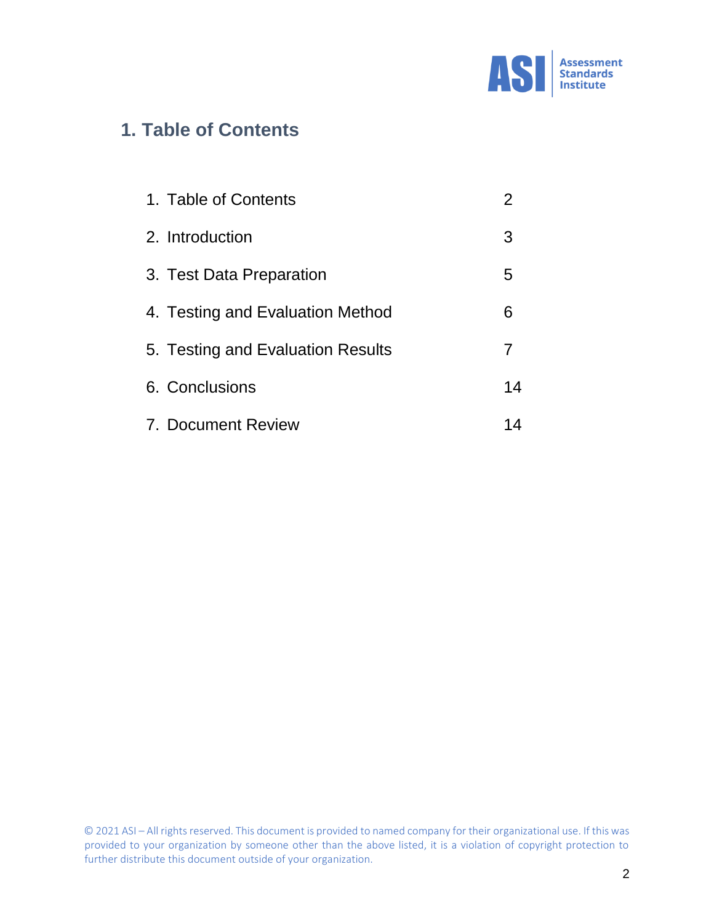

# **1. Table of Contents**

| 1. Table of Contents              | 2  |
|-----------------------------------|----|
| 2. Introduction                   | 3  |
| 3. Test Data Preparation          | 5  |
| 4. Testing and Evaluation Method  | 6  |
| 5. Testing and Evaluation Results | 7  |
| 6. Conclusions                    | 14 |
| 7. Document Review                | 14 |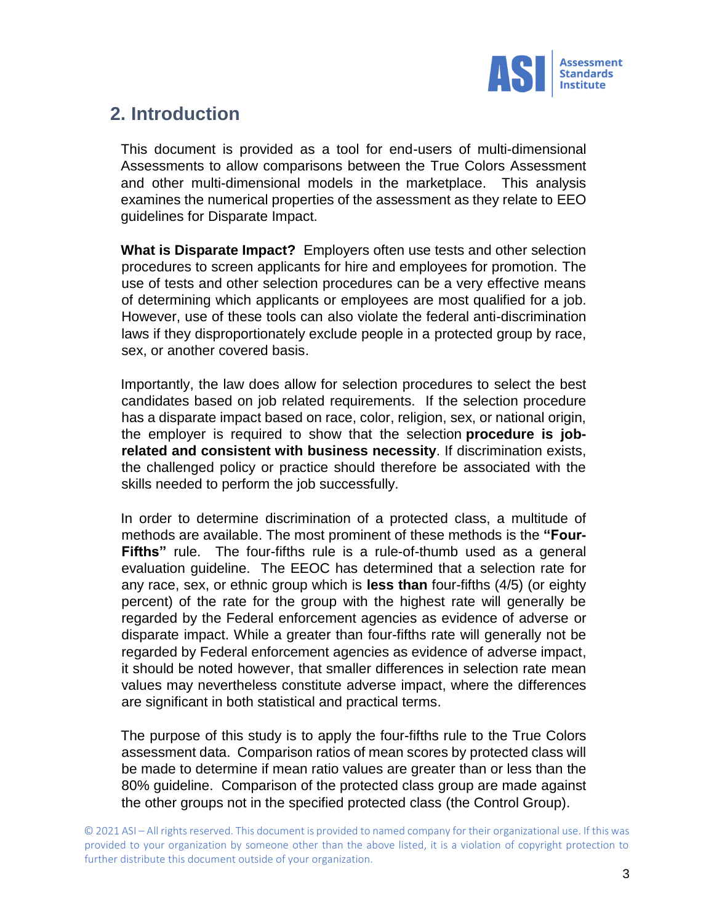

# **2. Introduction**

This document is provided as a tool for end-users of multi-dimensional Assessments to allow comparisons between the True Colors Assessment and other multi-dimensional models in the marketplace. This analysis examines the numerical properties of the assessment as they relate to EEO guidelines for Disparate Impact.

**What is Disparate Impact?** Employers often use tests and other selection procedures to screen applicants for hire and employees for promotion. The use of tests and other selection procedures can be a very effective means of determining which applicants or employees are most qualified for a job. However, use of these tools can also violate the federal anti-discrimination laws if they disproportionately exclude people in a protected group by race, sex, or another covered basis.

Importantly, the law does allow for selection procedures to select the best candidates based on job related requirements. If the selection procedure has a disparate impact based on race, color, religion, sex, or national origin, the employer is required to show that the selection **procedure is jobrelated and consistent with business necessity**. If discrimination exists, the challenged policy or practice should therefore be associated with the skills needed to perform the job successfully.

In order to determine discrimination of a protected class, a multitude of methods are available. The most prominent of these methods is the **"Four-Fifths"** rule. The four-fifths rule is a rule-of-thumb used as a general evaluation guideline. The EEOC has determined that a selection rate for any race, sex, or ethnic group which is **less than** four-fifths (4/5) (or eighty percent) of the rate for the group with the highest rate will generally be regarded by the Federal enforcement agencies as evidence of adverse or disparate impact. While a greater than four-fifths rate will generally not be regarded by Federal enforcement agencies as evidence of adverse impact, it should be noted however, that smaller differences in selection rate mean values may nevertheless constitute adverse impact, where the differences are significant in both statistical and practical terms.

The purpose of this study is to apply the four-fifths rule to the True Colors assessment data. Comparison ratios of mean scores by protected class will be made to determine if mean ratio values are greater than or less than the 80% guideline. Comparison of the protected class group are made against the other groups not in the specified protected class (the Control Group).

<sup>© 2021</sup> ASI – All rights reserved. This document is provided to named company for their organizational use. If this was provided to your organization by someone other than the above listed, it is a violation of copyright protection to further distribute this document outside of your organization.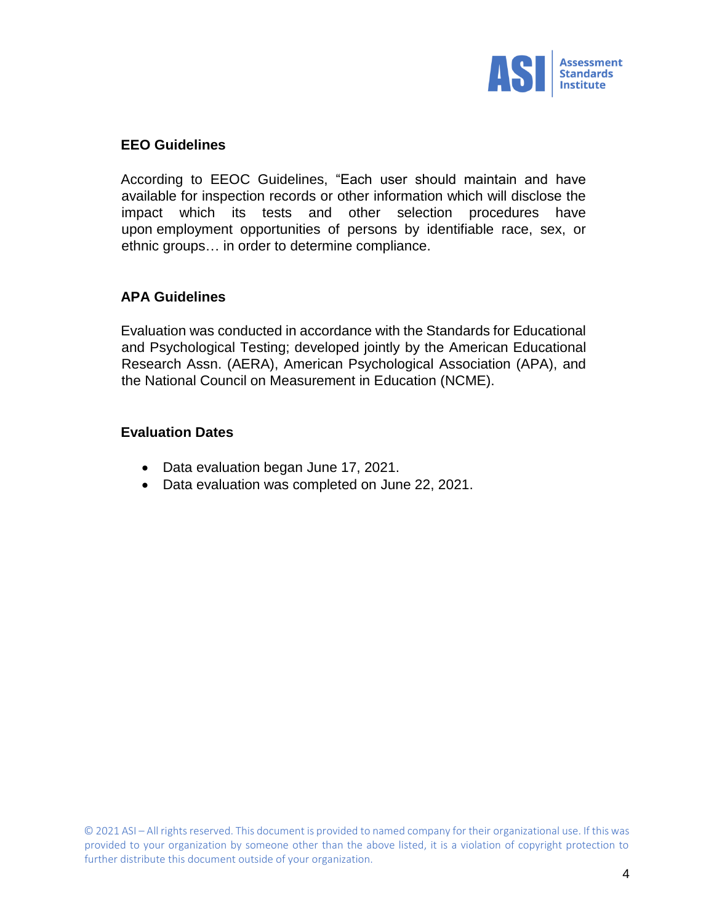

#### **EEO Guidelines**

According to EEOC Guidelines, "Each user should maintain and have available for inspection records or other information which will disclose the impact which its tests and other selection procedures have upon employment opportunities of persons by identifiable race, sex, or ethnic groups… in order to determine compliance.

#### **APA Guidelines**

Evaluation was conducted in accordance with the Standards for Educational and Psychological Testing; developed jointly by the American Educational Research Assn. (AERA), American Psychological Association (APA), and the National Council on Measurement in Education (NCME).

#### **Evaluation Dates**

- Data evaluation began June 17, 2021.
- Data evaluation was completed on June 22, 2021.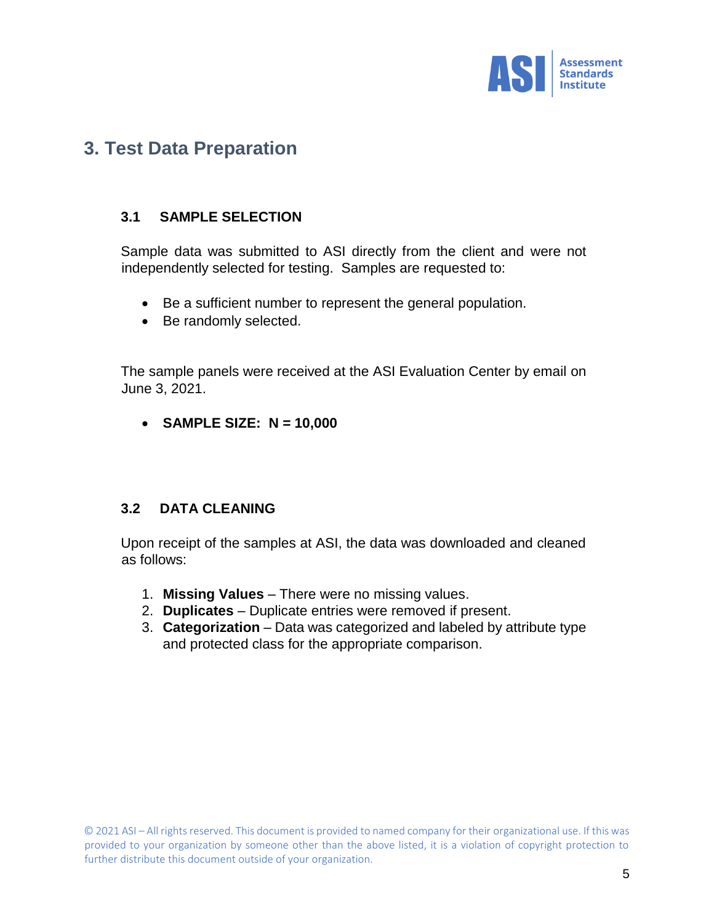

# **3. Test Data Preparation**

### **3.1 SAMPLE SELECTION**

Sample data was submitted to ASI directly from the client and were not independently selected for testing. Samples are requested to:

- Be a sufficient number to represent the general population.
- Be randomly selected.

The sample panels were received at the ASI Evaluation Center by email on June 3, 2021.

**SAMPLE SIZE: N = 10,000**

### **3.2 DATA CLEANING**

Upon receipt of the samples at ASI, the data was downloaded and cleaned as follows:

- 1. **Missing Values** There were no missing values.
- 2. **Duplicates** Duplicate entries were removed if present.
- 3. **Categorization** Data was categorized and labeled by attribute type and protected class for the appropriate comparison.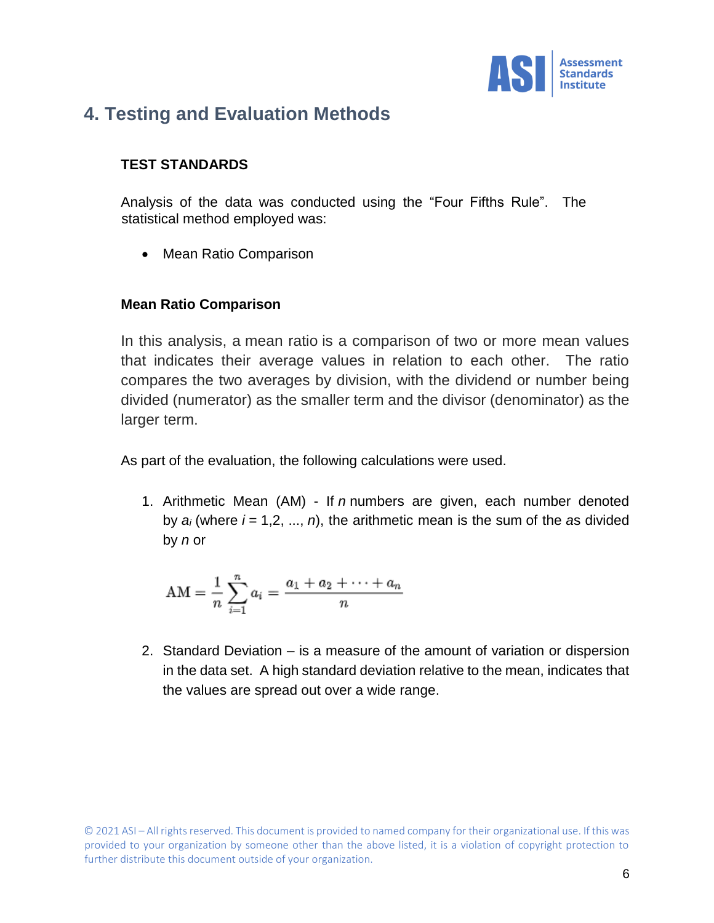

# **4. Testing and Evaluation Methods**

### **TEST STANDARDS**

Analysis of the data was conducted using the "Four Fifths Rule". The statistical method employed was:

• Mean Ratio Comparison

### **Mean Ratio Comparison**

In this analysis, a mean ratio is a comparison of two or more mean values that indicates their average values in relation to each other. The ratio compares the two averages by division, with the dividend or number being divided (numerator) as the smaller term and the divisor (denominator) as the larger term.

As part of the evaluation, the following calculations were used.

1. Arithmetic Mean (AM) - If *n* numbers are given, each number denoted by *a<sup>i</sup>* (where *i* = 1,2, ..., *n*), the arithmetic mean is the sum of the *a*s divided by *n* or

$$
AM = \frac{1}{n} \sum_{i=1}^{n} a_i = \frac{a_1 + a_2 + \dots + a_n}{n}
$$

2. Standard Deviation – is a measure of the amount of variation or dispersion in the data set. A high standard deviation relative to the mean, indicates that the values are spread out over a wide range.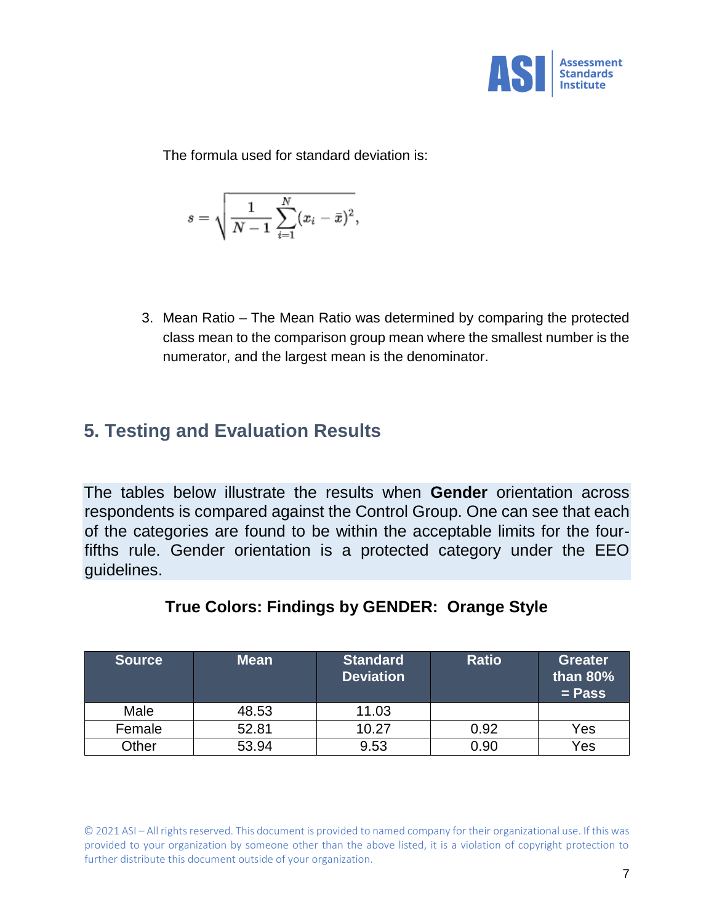

The formula used for standard deviation is:

$$
s=\sqrt{\frac{1}{N-1}\sum_{i=1}^N(x_i-\bar{x})^2},
$$

3. Mean Ratio – The Mean Ratio was determined by comparing the protected class mean to the comparison group mean where the smallest number is the numerator, and the largest mean is the denominator.

# **5. Testing and Evaluation Results**

The tables below illustrate the results when **Gender** orientation across respondents is compared against the Control Group. One can see that each of the categories are found to be within the acceptable limits for the fourfifths rule. Gender orientation is a protected category under the EEO guidelines.

| <b>Source</b> | <b>Mean</b> | <b>Standard</b><br><b>Deviation</b> | <b>Ratio</b> | <b>Greater</b><br>than $80\%$<br>$=$ Pass |
|---------------|-------------|-------------------------------------|--------------|-------------------------------------------|
| Male          | 48.53       | 11.03                               |              |                                           |
| Female        | 52.81       | 10.27                               | 0.92         | Yes                                       |
| Other         | 53.94       | 9.53                                | 0.90         | Yes                                       |

### **True Colors: Findings by GENDER: Orange Style**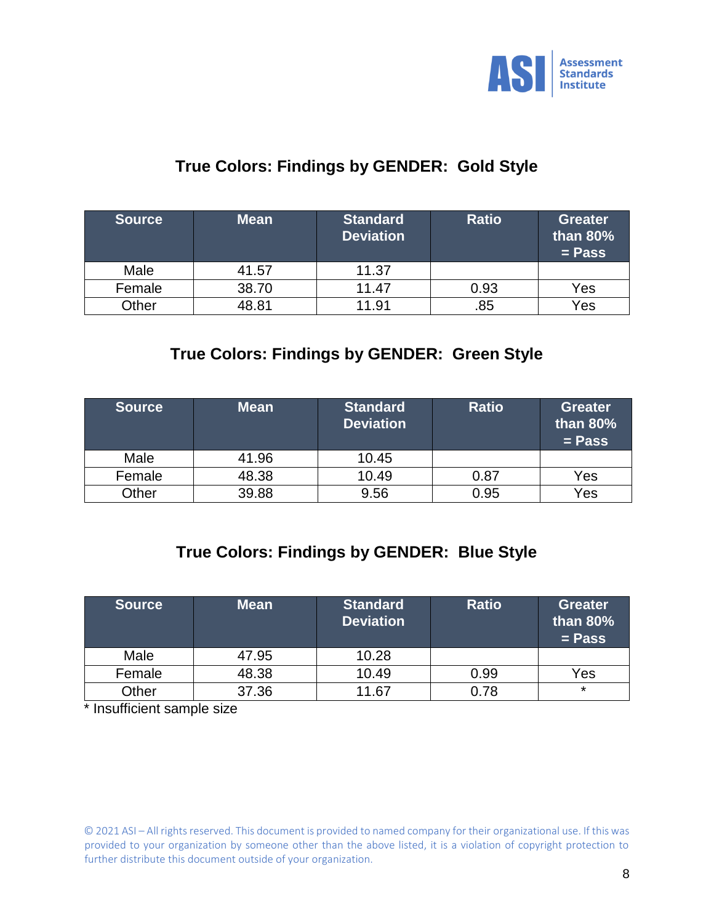

## **True Colors: Findings by GENDER: Gold Style**

| <b>Source</b> | <b>Mean</b> | <b>Standard</b><br><b>Deviation</b> | <b>Ratio</b> | <b>Greater</b><br>than $80\%$<br>$=$ Pass |
|---------------|-------------|-------------------------------------|--------------|-------------------------------------------|
| Male          | 41.57       | 11.37                               |              |                                           |
| Female        | 38.70       | 11.47                               | 0.93         | Yes                                       |
| Other         | 48.81       | 11.91                               | .85          | Yes                                       |

## **True Colors: Findings by GENDER: Green Style**

| <b>Source</b> | <b>Mean</b> | <b>Standard</b><br><b>Deviation</b> | <b>Ratio</b> | <b>Greater</b><br>than $80\%$<br>$=$ Pass |
|---------------|-------------|-------------------------------------|--------------|-------------------------------------------|
| Male          | 41.96       | 10.45                               |              |                                           |
| Female        | 48.38       | 10.49                               | 0.87         | Yes                                       |
| <b>Other</b>  | 39.88       | 9.56                                | 0.95         | Yes                                       |

## **True Colors: Findings by GENDER: Blue Style**

| <b>Source</b> | <b>Mean</b> | <b>Standard</b><br><b>Deviation</b> | <b>Ratio</b> | <b>Greater</b><br>than $80\%$<br>$=$ Pass |
|---------------|-------------|-------------------------------------|--------------|-------------------------------------------|
| Male          | 47.95       | 10.28                               |              |                                           |
| Female        | 48.38       | 10.49                               | 0.99         | Yes                                       |
| <b>Other</b>  | 37.36       | 11.67                               | 0.78         | $\star$                                   |

\* Insufficient sample size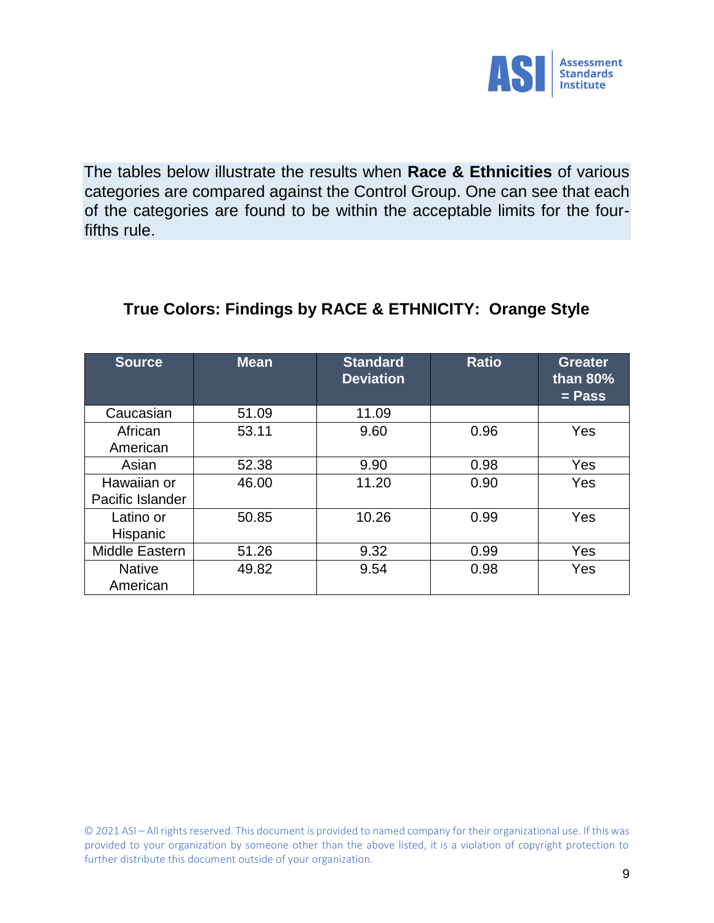

The tables below illustrate the results when **Race & Ethnicities** of various categories are compared against the Control Group. One can see that each of the categories are found to be within the acceptable limits for the fourfifths rule.

## **True Colors: Findings by RACE & ETHNICITY: Orange Style**

| <b>Source</b>    | <b>Mean</b> | <b>Standard</b><br><b>Deviation</b> | <b>Ratio</b> | <b>Greater</b><br>than $80\%$<br>$=$ Pass |
|------------------|-------------|-------------------------------------|--------------|-------------------------------------------|
| Caucasian        | 51.09       | 11.09                               |              |                                           |
| African          | 53.11       | 9.60                                | 0.96         | Yes                                       |
| American         |             |                                     |              |                                           |
| Asian            | 52.38       | 9.90                                | 0.98         | Yes                                       |
| Hawaiian or      | 46.00       | 11.20                               | 0.90         | Yes                                       |
| Pacific Islander |             |                                     |              |                                           |
| Latino or        | 50.85       | 10.26                               | 0.99         | Yes                                       |
| Hispanic         |             |                                     |              |                                           |
| Middle Eastern   | 51.26       | 9.32                                | 0.99         | Yes                                       |
| <b>Native</b>    | 49.82       | 9.54                                | 0.98         | Yes                                       |
| American         |             |                                     |              |                                           |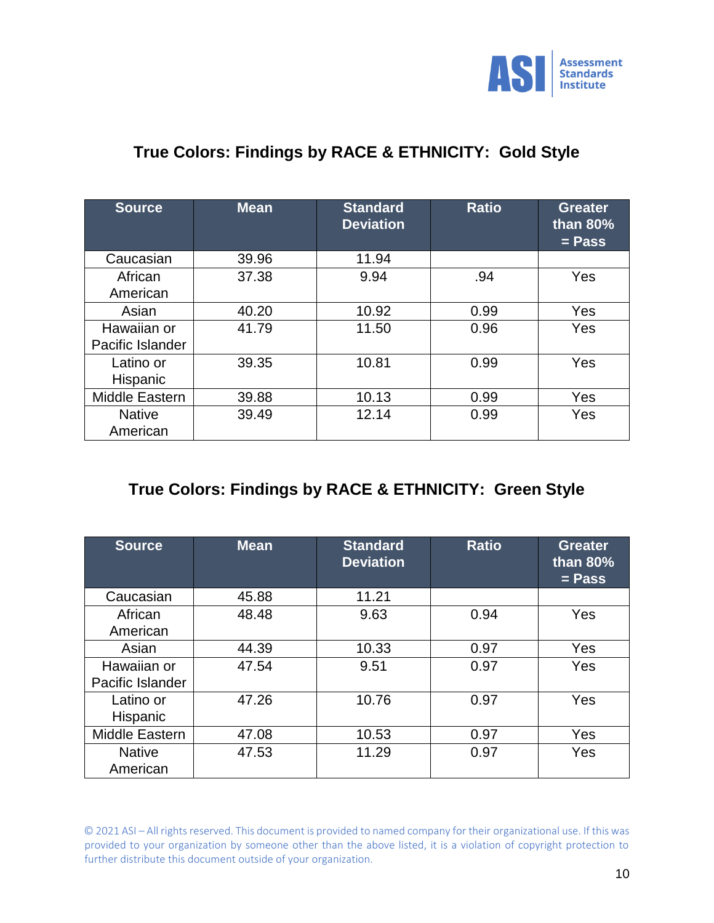

## **True Colors: Findings by RACE & ETHNICITY: Gold Style**

| <b>Source</b>                   | <b>Mean</b> | <b>Standard</b><br><b>Deviation</b> | <b>Ratio</b> | <b>Greater</b><br>than 80%<br>$=$ Pass |
|---------------------------------|-------------|-------------------------------------|--------------|----------------------------------------|
| Caucasian                       | 39.96       | 11.94                               |              |                                        |
| African<br>American             | 37.38       | 9.94                                | .94          | Yes                                    |
| Asian                           | 40.20       | 10.92                               | 0.99         | Yes                                    |
| Hawaiian or<br>Pacific Islander | 41.79       | 11.50                               | 0.96         | <b>Yes</b>                             |
| Latino or<br>Hispanic           | 39.35       | 10.81                               | 0.99         | Yes                                    |
| Middle Eastern                  | 39.88       | 10.13                               | 0.99         | Yes                                    |
| <b>Native</b><br>American       | 39.49       | 12.14                               | 0.99         | Yes                                    |

## **True Colors: Findings by RACE & ETHNICITY: Green Style**

| <b>Source</b>                   | <b>Mean</b> | <b>Standard</b><br><b>Deviation</b> | <b>Ratio</b> | <b>Greater</b><br>than 80%<br>$=$ Pass |
|---------------------------------|-------------|-------------------------------------|--------------|----------------------------------------|
| Caucasian                       | 45.88       | 11.21                               |              |                                        |
| African<br>American             | 48.48       | 9.63                                | 0.94         | Yes                                    |
| Asian                           | 44.39       | 10.33                               | 0.97         | Yes                                    |
| Hawaiian or<br>Pacific Islander | 47.54       | 9.51                                | 0.97         | Yes                                    |
| Latino or<br>Hispanic           | 47.26       | 10.76                               | 0.97         | Yes                                    |
| Middle Eastern                  | 47.08       | 10.53                               | 0.97         | Yes                                    |
| <b>Native</b><br>American       | 47.53       | 11.29                               | 0.97         | Yes                                    |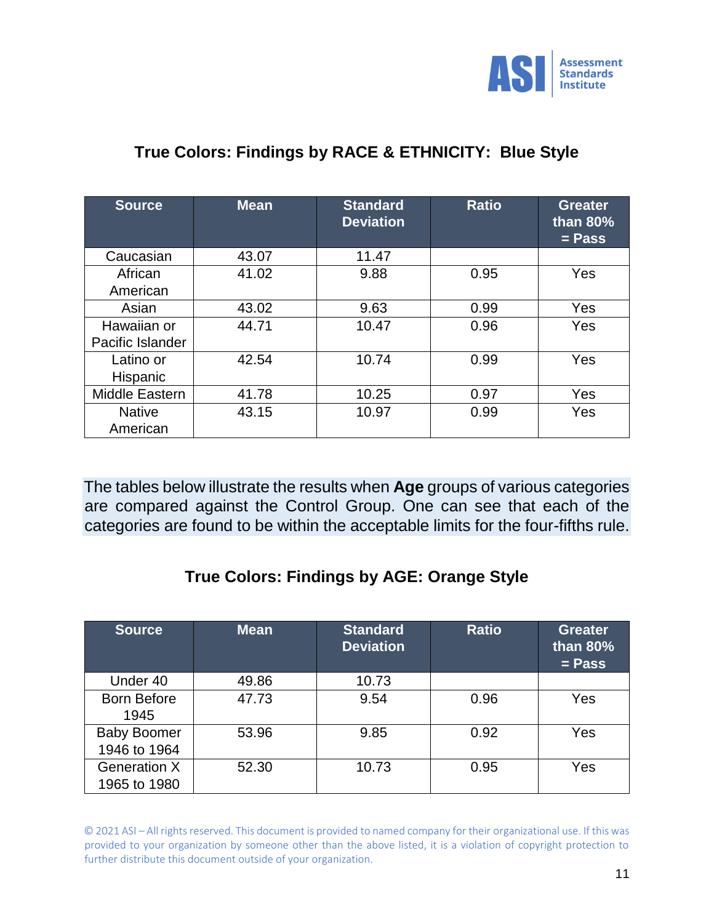

## **True Colors: Findings by RACE & ETHNICITY: Blue Style**

| <b>Source</b>                   | Mean  | <b>Standard</b><br><b>Deviation</b> | <b>Ratio</b> | <b>Greater</b><br>than 80%<br>$=$ Pass |
|---------------------------------|-------|-------------------------------------|--------------|----------------------------------------|
| Caucasian                       | 43.07 | 11.47                               |              |                                        |
| African<br>American             | 41.02 | 9.88                                | 0.95         | Yes                                    |
| Asian                           | 43.02 | 9.63                                | 0.99         | Yes                                    |
| Hawaiian or<br>Pacific Islander | 44.71 | 10.47                               | 0.96         | Yes                                    |
| Latino or<br>Hispanic           | 42.54 | 10.74                               | 0.99         | Yes                                    |
| Middle Eastern                  | 41.78 | 10.25                               | 0.97         | Yes                                    |
| <b>Native</b><br>American       | 43.15 | 10.97                               | 0.99         | Yes                                    |

The tables below illustrate the results when **Age** groups of various categories are compared against the Control Group. One can see that each of the categories are found to be within the acceptable limits for the four-fifths rule.

### **True Colors: Findings by AGE: Orange Style**

| <b>Source</b>                       | <b>Mean</b> | <b>Standard</b><br><b>Deviation</b> | <b>Ratio</b> | <b>Greater</b><br>than $80\%$<br>$=$ Pass |
|-------------------------------------|-------------|-------------------------------------|--------------|-------------------------------------------|
| Under 40                            | 49.86       | 10.73                               |              |                                           |
| <b>Born Before</b><br>1945          | 47.73       | 9.54                                | 0.96         | Yes                                       |
| <b>Baby Boomer</b><br>1946 to 1964  | 53.96       | 9.85                                | 0.92         | Yes                                       |
| <b>Generation X</b><br>1965 to 1980 | 52.30       | 10.73                               | 0.95         | Yes                                       |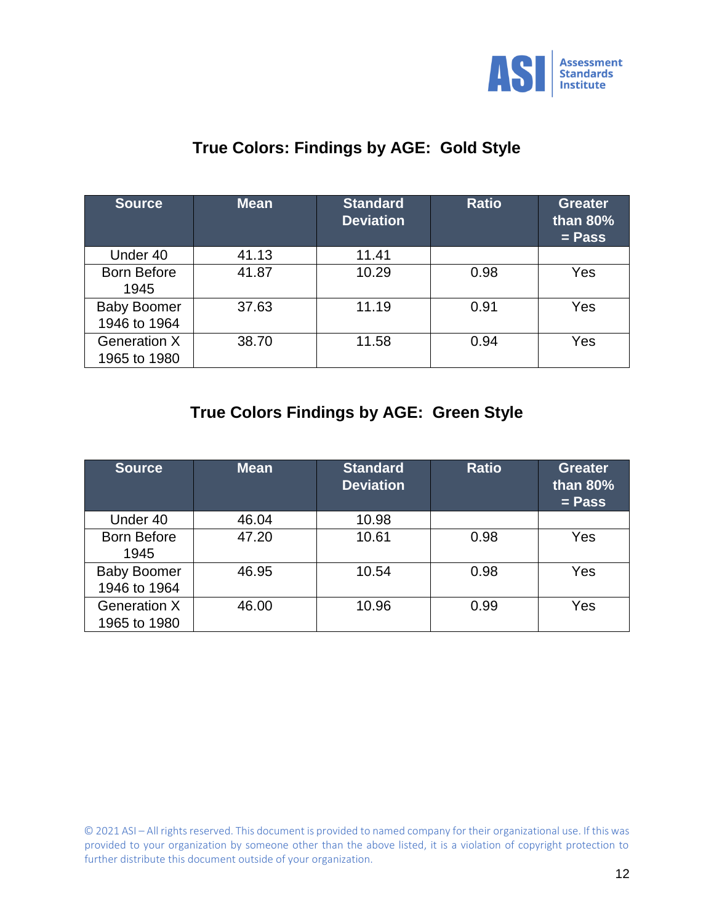

## **True Colors: Findings by AGE: Gold Style**

| <b>Source</b>                       | <b>Mean</b> | <b>Standard</b><br><b>Deviation</b> | <b>Ratio</b> | <b>Greater</b><br>than $80\%$<br>$=$ Pass |
|-------------------------------------|-------------|-------------------------------------|--------------|-------------------------------------------|
| Under 40                            | 41.13       | 11.41                               |              |                                           |
| <b>Born Before</b><br>1945          | 41.87       | 10.29                               | 0.98         | Yes                                       |
| <b>Baby Boomer</b><br>1946 to 1964  | 37.63       | 11.19                               | 0.91         | Yes                                       |
| <b>Generation X</b><br>1965 to 1980 | 38.70       | 11.58                               | 0.94         | Yes                                       |

## **True Colors Findings by AGE: Green Style**

| <b>Source</b>                       | <b>Mean</b> | <b>Standard</b><br><b>Deviation</b> | <b>Ratio</b> | <b>Greater</b><br>than $80\%$<br>$=$ Pass |
|-------------------------------------|-------------|-------------------------------------|--------------|-------------------------------------------|
| Under 40                            | 46.04       | 10.98                               |              |                                           |
| <b>Born Before</b><br>1945          | 47.20       | 10.61                               | 0.98         | Yes                                       |
| <b>Baby Boomer</b><br>1946 to 1964  | 46.95       | 10.54                               | 0.98         | Yes                                       |
| <b>Generation X</b><br>1965 to 1980 | 46.00       | 10.96                               | 0.99         | Yes                                       |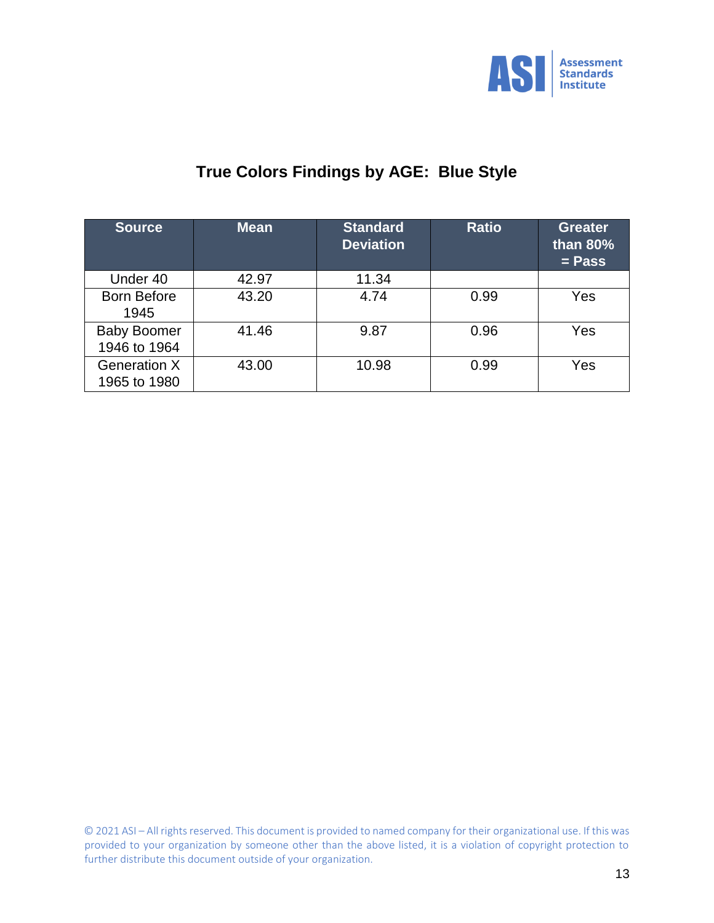

# **True Colors Findings by AGE: Blue Style**

| <b>Source</b>                       | <b>Mean</b> | <b>Standard</b><br><b>Deviation</b> | <b>Ratio</b> | <b>Greater</b><br>than 80%<br>$=$ Pass |
|-------------------------------------|-------------|-------------------------------------|--------------|----------------------------------------|
| Under 40                            | 42.97       | 11.34                               |              |                                        |
| <b>Born Before</b><br>1945          | 43.20       | 4.74                                | 0.99         | Yes                                    |
| <b>Baby Boomer</b><br>1946 to 1964  | 41.46       | 9.87                                | 0.96         | Yes                                    |
| <b>Generation X</b><br>1965 to 1980 | 43.00       | 10.98                               | 0.99         | Yes                                    |